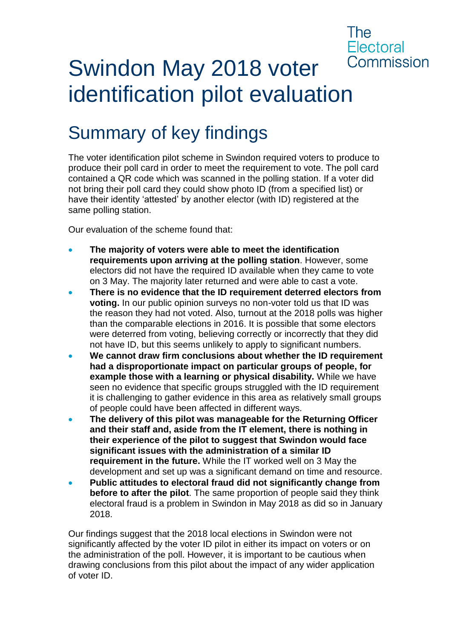### The **Flectoral** Commission

# Swindon May 2018 voter identification pilot evaluation

# Summary of key findings

The voter identification pilot scheme in Swindon required voters to produce to produce their poll card in order to meet the requirement to vote. The poll card contained a QR code which was scanned in the polling station. If a voter did not bring their poll card they could show photo ID (from a specified list) or have their identity 'attested' by another elector (with ID) registered at the same polling station.

Our evaluation of the scheme found that:

- **The majority of voters were able to meet the identification requirements upon arriving at the polling station**. However, some electors did not have the required ID available when they came to vote on 3 May. The majority later returned and were able to cast a vote.
- **There is no evidence that the ID requirement deterred electors from voting.** In our public opinion surveys no non-voter told us that ID was the reason they had not voted. Also, turnout at the 2018 polls was higher than the comparable elections in 2016. It is possible that some electors were deterred from voting, believing correctly or incorrectly that they did not have ID, but this seems unlikely to apply to significant numbers.
- **We cannot draw firm conclusions about whether the ID requirement had a disproportionate impact on particular groups of people, for example those with a learning or physical disability.** While we have seen no evidence that specific groups struggled with the ID requirement it is challenging to gather evidence in this area as relatively small groups of people could have been affected in different ways.
- **The delivery of this pilot was manageable for the Returning Officer and their staff and, aside from the IT element, there is nothing in their experience of the pilot to suggest that Swindon would face significant issues with the administration of a similar ID requirement in the future.** While the IT worked well on 3 May the development and set up was a significant demand on time and resource.
- **Public attitudes to electoral fraud did not significantly change from before to after the pilot**. The same proportion of people said they think electoral fraud is a problem in Swindon in May 2018 as did so in January 2018.

Our findings suggest that the 2018 local elections in Swindon were not significantly affected by the voter ID pilot in either its impact on voters or on the administration of the poll. However, it is important to be cautious when drawing conclusions from this pilot about the impact of any wider application of voter ID.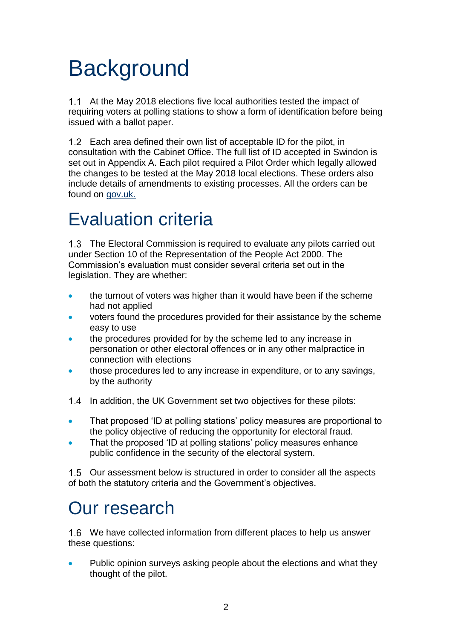# **Background**

At the May 2018 elections five local authorities tested the impact of requiring voters at polling stations to show a form of identification before being issued with a ballot paper.

1.2 Each area defined their own list of acceptable ID for the pilot, in consultation with the Cabinet Office. The full list of ID accepted in Swindon is set out in Appendix A. Each pilot required a Pilot Order which legally allowed the changes to be tested at the May 2018 local elections. These orders also include details of amendments to existing processes. All the orders can be found on [gov.uk.](https://www.gov.uk/government/publications/voter-id-pilots)

# Evaluation criteria

1.3 The Electoral Commission is required to evaluate any pilots carried out under Section 10 of the Representation of the People Act 2000. The Commission's evaluation must consider several criteria set out in the legislation. They are whether:

- the turnout of voters was higher than it would have been if the scheme had not applied
- voters found the procedures provided for their assistance by the scheme easy to use
- the procedures provided for by the scheme led to any increase in personation or other electoral offences or in any other malpractice in connection with elections
- those procedures led to any increase in expenditure, or to any savings, by the authority
- 1.4 In addition, the UK Government set two objectives for these pilots:
- That proposed 'ID at polling stations' policy measures are proportional to the policy objective of reducing the opportunity for electoral fraud.
- That the proposed 'ID at polling stations' policy measures enhance public confidence in the security of the electoral system.

Our assessment below is structured in order to consider all the aspects of both the statutory criteria and the Government's objectives.

# Our research

We have collected information from different places to help us answer these questions:

• Public opinion surveys asking people about the elections and what they thought of the pilot.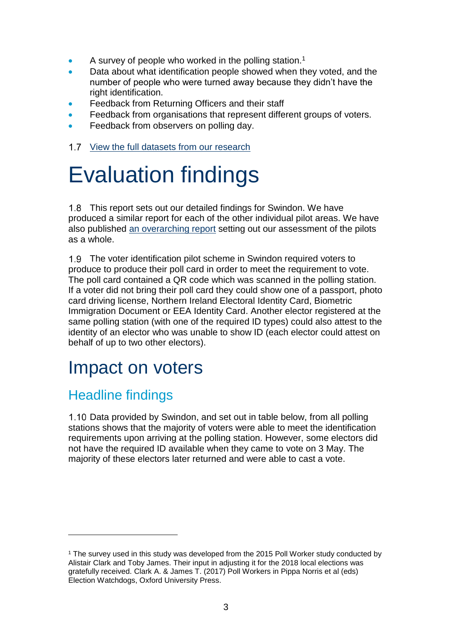- A survey of people who worked in the polling station.<sup>1</sup>
- Data about what identification people showed when they voted, and the number of people who were turned away because they didn't have the right identification.
- Feedback from Returning Officers and their staff
- Feedback from organisations that represent different groups of voters.
- Feedback from observers on polling day.
- 1.7 [View the full datasets from our research](https://www.electoralcommission.org.uk/find-information-by-subject/electoral-fraud/voter-identification-pilot-schemes)

# Evaluation findings

1.8 This report sets out our detailed findings for Swindon. We have produced a similar report for each of the other individual pilot areas. We have also published [an overarching report](https://www.electoralcommission.org.uk/__data/assets/pdf_file/0006/244950/May-2018-voter-identification-pilots-evaluation-report.pdf) setting out our assessment of the pilots as a whole.

1.9 The voter identification pilot scheme in Swindon required voters to produce to produce their poll card in order to meet the requirement to vote. The poll card contained a QR code which was scanned in the polling station. If a voter did not bring their poll card they could show one of a passport, photo card driving license, Northern Ireland Electoral Identity Card, Biometric Immigration Document or EEA Identity Card. Another elector registered at the same polling station (with one of the required ID types) could also attest to the identity of an elector who was unable to show ID (each elector could attest on behalf of up to two other electors).

## Impact on voters

### Headline findings

1

1.10 Data provided by Swindon, and set out in table below, from all polling stations shows that the majority of voters were able to meet the identification requirements upon arriving at the polling station. However, some electors did not have the required ID available when they came to vote on 3 May. The majority of these electors later returned and were able to cast a vote.

<sup>1</sup> The survey used in this study was developed from the 2015 Poll Worker study conducted by Alistair Clark and Toby James. Their input in adjusting it for the 2018 local elections was gratefully received. Clark A. & James T. (2017) Poll Workers in Pippa Norris et al (eds) Election Watchdogs, Oxford University Press.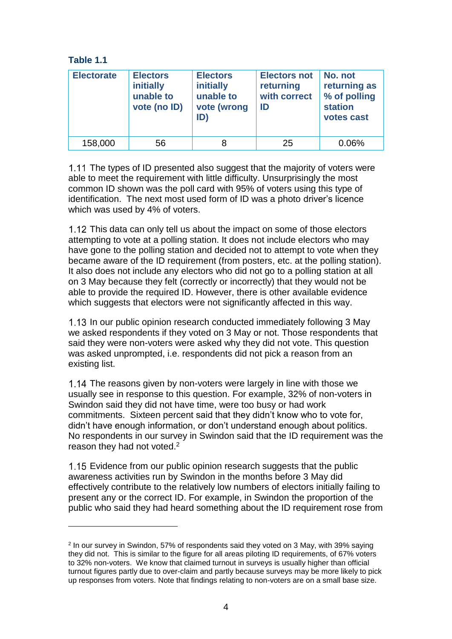#### **Table 1.1**

 $\overline{a}$ 

| <b>Electorate</b> | <b>Electors</b><br>initially<br>unable to<br>vote (no ID) | <b>Electors</b><br>initially<br>unable to<br>vote (wrong<br>ID) | <b>Electors not</b><br>returning<br>with correct<br>ID | No. not<br>returning as<br>% of polling<br><b>station</b><br>votes cast |
|-------------------|-----------------------------------------------------------|-----------------------------------------------------------------|--------------------------------------------------------|-------------------------------------------------------------------------|
| 158,000           | 56                                                        |                                                                 | 25                                                     | 0.06%                                                                   |

1.11 The types of ID presented also suggest that the majority of voters were able to meet the requirement with little difficulty. Unsurprisingly the most common ID shown was the poll card with 95% of voters using this type of identification. The next most used form of ID was a photo driver's licence which was used by 4% of voters.

1.12 This data can only tell us about the impact on some of those electors attempting to vote at a polling station. It does not include electors who may have gone to the polling station and decided not to attempt to vote when they became aware of the ID requirement (from posters, etc. at the polling station). It also does not include any electors who did not go to a polling station at all on 3 May because they felt (correctly or incorrectly) that they would not be able to provide the required ID. However, there is other available evidence which suggests that electors were not significantly affected in this way.

1.13 In our public opinion research conducted immediately following 3 May we asked respondents if they voted on 3 May or not. Those respondents that said they were non-voters were asked why they did not vote. This question was asked unprompted, i.e. respondents did not pick a reason from an existing list.

1.14 The reasons given by non-voters were largely in line with those we usually see in response to this question. For example, 32% of non-voters in Swindon said they did not have time, were too busy or had work commitments. Sixteen percent said that they didn't know who to vote for, didn't have enough information, or don't understand enough about politics. No respondents in our survey in Swindon said that the ID requirement was the reason they had not voted.<sup>2</sup>

1.15 Evidence from our public opinion research suggests that the public awareness activities run by Swindon in the months before 3 May did effectively contribute to the relatively low numbers of electors initially failing to present any or the correct ID. For example, in Swindon the proportion of the public who said they had heard something about the ID requirement rose from

<sup>2</sup> In our survey in Swindon, 57% of respondents said they voted on 3 May, with 39% saying they did not. This is similar to the figure for all areas piloting ID requirements, of 67% voters to 32% non-voters. We know that claimed turnout in surveys is usually higher than official turnout figures partly due to over-claim and partly because surveys may be more likely to pick up responses from voters. Note that findings relating to non-voters are on a small base size.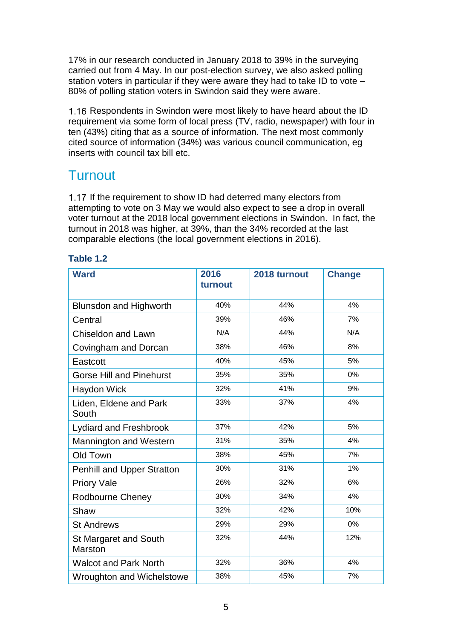17% in our research conducted in January 2018 to 39% in the surveying carried out from 4 May. In our post-election survey, we also asked polling station voters in particular if they were aware they had to take ID to vote – 80% of polling station voters in Swindon said they were aware.

1.16 Respondents in Swindon were most likely to have heard about the ID requirement via some form of local press (TV, radio, newspaper) with four in ten (43%) citing that as a source of information. The next most commonly cited source of information (34%) was various council communication, eg inserts with council tax bill etc.

#### **Turnout**

1.17 If the requirement to show ID had deterred many electors from attempting to vote on 3 May we would also expect to see a drop in overall voter turnout at the 2018 local government elections in Swindon. In fact, the turnout in 2018 was higher, at 39%, than the 34% recorded at the last comparable elections (the local government elections in 2016).

| <b>Ward</b>                             | 2016<br>turnout | 2018 turnout | <b>Change</b> |
|-----------------------------------------|-----------------|--------------|---------------|
| <b>Blunsdon and Highworth</b>           | 40%             | 44%          | 4%            |
| Central                                 | 39%             | 46%          | 7%            |
| <b>Chiseldon and Lawn</b>               | N/A             | 44%          | N/A           |
| Covingham and Dorcan                    | 38%             | 46%          | 8%            |
| Eastcott                                | 40%             | 45%          | 5%            |
| <b>Gorse Hill and Pinehurst</b>         | 35%             | 35%          | 0%            |
| <b>Haydon Wick</b>                      | 32%             | 41%          | 9%            |
| Liden, Eldene and Park<br>South         | 33%             | 37%          | 4%            |
| <b>Lydiard and Freshbrook</b>           | 37%             | 42%          | 5%            |
| Mannington and Western                  | 31%             | 35%          | 4%            |
| Old Town                                | 38%             | 45%          | 7%            |
| <b>Penhill and Upper Stratton</b>       | 30%             | 31%          | 1%            |
| <b>Priory Vale</b>                      | 26%             | 32%          | 6%            |
| Rodbourne Cheney                        | 30%             | 34%          | 4%            |
| Shaw                                    | 32%             | 42%          | 10%           |
| <b>St Andrews</b>                       | 29%             | 29%          | 0%            |
| St Margaret and South<br><b>Marston</b> | 32%             | 44%          | 12%           |
| <b>Walcot and Park North</b>            | 32%             | 36%          | 4%            |
| Wroughton and Wichelstowe               | 38%             | 45%          | 7%            |

#### **Table 1.2**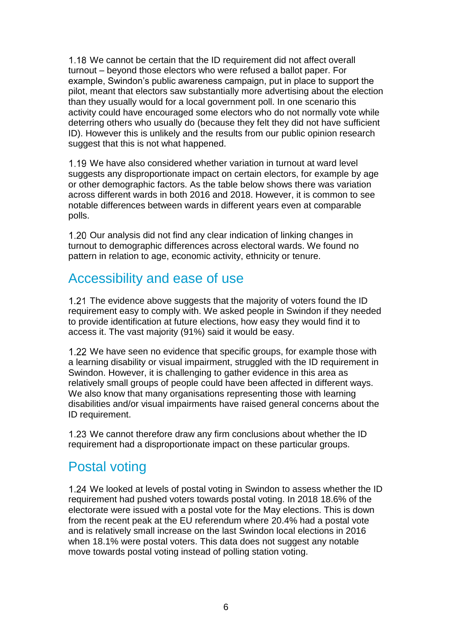1.18 We cannot be certain that the ID requirement did not affect overall turnout – beyond those electors who were refused a ballot paper. For example, Swindon's public awareness campaign, put in place to support the pilot, meant that electors saw substantially more advertising about the election than they usually would for a local government poll. In one scenario this activity could have encouraged some electors who do not normally vote while deterring others who usually do (because they felt they did not have sufficient ID). However this is unlikely and the results from our public opinion research suggest that this is not what happened.

We have also considered whether variation in turnout at ward level suggests any disproportionate impact on certain electors, for example by age or other demographic factors. As the table below shows there was variation across different wards in both 2016 and 2018. However, it is common to see notable differences between wards in different years even at comparable polls.

1.20 Our analysis did not find any clear indication of linking changes in turnout to demographic differences across electoral wards. We found no pattern in relation to age, economic activity, ethnicity or tenure.

#### Accessibility and ease of use

1.21 The evidence above suggests that the majority of voters found the ID requirement easy to comply with. We asked people in Swindon if they needed to provide identification at future elections, how easy they would find it to access it. The vast majority (91%) said it would be easy.

1.22 We have seen no evidence that specific groups, for example those with a learning disability or visual impairment, struggled with the ID requirement in Swindon. However, it is challenging to gather evidence in this area as relatively small groups of people could have been affected in different ways. We also know that many organisations representing those with learning disabilities and/or visual impairments have raised general concerns about the ID requirement.

1.23 We cannot therefore draw any firm conclusions about whether the ID requirement had a disproportionate impact on these particular groups.

### Postal voting

1.24 We looked at levels of postal voting in Swindon to assess whether the ID requirement had pushed voters towards postal voting. In 2018 18.6% of the electorate were issued with a postal vote for the May elections. This is down from the recent peak at the EU referendum where 20.4% had a postal vote and is relatively small increase on the last Swindon local elections in 2016 when 18.1% were postal voters. This data does not suggest any notable move towards postal voting instead of polling station voting.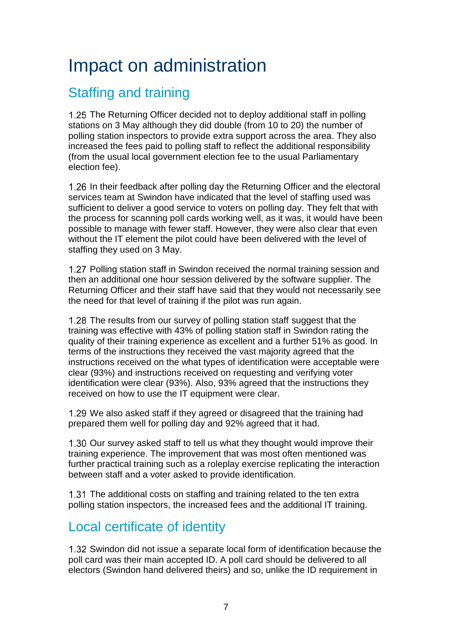## Impact on administration

### Staffing and training

The Returning Officer decided not to deploy additional staff in polling stations on 3 May although they did double (from 10 to 20) the number of polling station inspectors to provide extra support across the area. They also increased the fees paid to polling staff to reflect the additional responsibility (from the usual local government election fee to the usual Parliamentary election fee).

1.26 In their feedback after polling day the Returning Officer and the electoral services team at Swindon have indicated that the level of staffing used was sufficient to deliver a good service to voters on polling day. They felt that with the process for scanning poll cards working well, as it was, it would have been possible to manage with fewer staff. However, they were also clear that even without the IT element the pilot could have been delivered with the level of staffing they used on 3 May.

1.27 Polling station staff in Swindon received the normal training session and then an additional one hour session delivered by the software supplier. The Returning Officer and their staff have said that they would not necessarily see the need for that level of training if the pilot was run again.

1.28 The results from our survey of polling station staff suggest that the training was effective with 43% of polling station staff in Swindon rating the quality of their training experience as excellent and a further 51% as good. In terms of the instructions they received the vast majority agreed that the instructions received on the what types of identification were acceptable were clear (93%) and instructions received on requesting and verifying voter identification were clear (93%). Also, 93% agreed that the instructions they received on how to use the IT equipment were clear.

1.29 We also asked staff if they agreed or disagreed that the training had prepared them well for polling day and 92% agreed that it had.

1.30 Our survey asked staff to tell us what they thought would improve their training experience. The improvement that was most often mentioned was further practical training such as a roleplay exercise replicating the interaction between staff and a voter asked to provide identification.

1.31 The additional costs on staffing and training related to the ten extra polling station inspectors, the increased fees and the additional IT training.

## Local certificate of identity

1.32 Swindon did not issue a separate local form of identification because the poll card was their main accepted ID. A poll card should be delivered to all electors (Swindon hand delivered theirs) and so, unlike the ID requirement in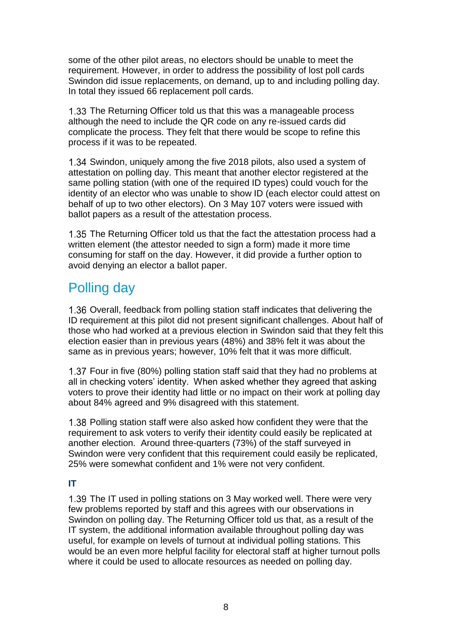some of the other pilot areas, no electors should be unable to meet the requirement. However, in order to address the possibility of lost poll cards Swindon did issue replacements, on demand, up to and including polling day. In total they issued 66 replacement poll cards.

1.33 The Returning Officer told us that this was a manageable process although the need to include the QR code on any re-issued cards did complicate the process. They felt that there would be scope to refine this process if it was to be repeated.

1.34 Swindon, uniquely among the five 2018 pilots, also used a system of attestation on polling day. This meant that another elector registered at the same polling station (with one of the required ID types) could vouch for the identity of an elector who was unable to show ID (each elector could attest on behalf of up to two other electors). On 3 May 107 voters were issued with ballot papers as a result of the attestation process.

1.35 The Returning Officer told us that the fact the attestation process had a written element (the attestor needed to sign a form) made it more time consuming for staff on the day. However, it did provide a further option to avoid denying an elector a ballot paper.

### Polling day

1.36 Overall, feedback from polling station staff indicates that delivering the ID requirement at this pilot did not present significant challenges. About half of those who had worked at a previous election in Swindon said that they felt this election easier than in previous years (48%) and 38% felt it was about the same as in previous years; however, 10% felt that it was more difficult.

Four in five (80%) polling station staff said that they had no problems at all in checking voters' identity. When asked whether they agreed that asking voters to prove their identity had little or no impact on their work at polling day about 84% agreed and 9% disagreed with this statement.

1.38 Polling station staff were also asked how confident they were that the requirement to ask voters to verify their identity could easily be replicated at another election. Around three-quarters (73%) of the staff surveyed in Swindon were very confident that this requirement could easily be replicated, 25% were somewhat confident and 1% were not very confident.

#### **IT**

1.39 The IT used in polling stations on 3 May worked well. There were very few problems reported by staff and this agrees with our observations in Swindon on polling day. The Returning Officer told us that, as a result of the IT system, the additional information available throughout polling day was useful, for example on levels of turnout at individual polling stations. This would be an even more helpful facility for electoral staff at higher turnout polls where it could be used to allocate resources as needed on polling day.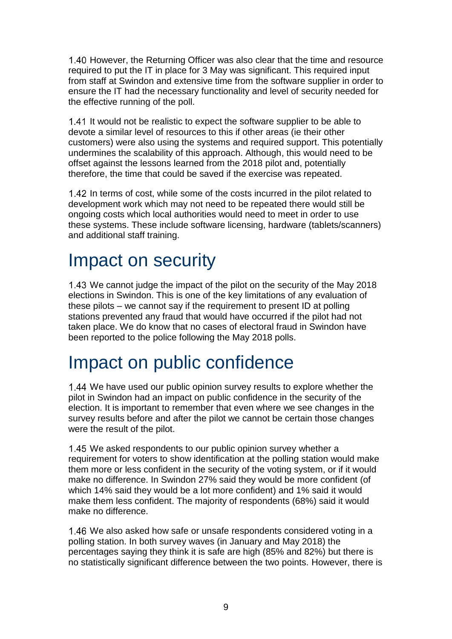1.40 However, the Returning Officer was also clear that the time and resource required to put the IT in place for 3 May was significant. This required input from staff at Swindon and extensive time from the software supplier in order to ensure the IT had the necessary functionality and level of security needed for the effective running of the poll.

1.41 It would not be realistic to expect the software supplier to be able to devote a similar level of resources to this if other areas (ie their other customers) were also using the systems and required support. This potentially undermines the scalability of this approach. Although, this would need to be offset against the lessons learned from the 2018 pilot and, potentially therefore, the time that could be saved if the exercise was repeated.

1.42 In terms of cost, while some of the costs incurred in the pilot related to development work which may not need to be repeated there would still be ongoing costs which local authorities would need to meet in order to use these systems. These include software licensing, hardware (tablets/scanners) and additional staff training.

# Impact on security

1.43 We cannot judge the impact of the pilot on the security of the May 2018 elections in Swindon. This is one of the key limitations of any evaluation of these pilots – we cannot say if the requirement to present ID at polling stations prevented any fraud that would have occurred if the pilot had not taken place. We do know that no cases of electoral fraud in Swindon have been reported to the police following the May 2018 polls.

## Impact on public confidence

We have used our public opinion survey results to explore whether the pilot in Swindon had an impact on public confidence in the security of the election. It is important to remember that even where we see changes in the survey results before and after the pilot we cannot be certain those changes were the result of the pilot.

1.45 We asked respondents to our public opinion survey whether a requirement for voters to show identification at the polling station would make them more or less confident in the security of the voting system, or if it would make no difference. In Swindon 27% said they would be more confident (of which 14% said they would be a lot more confident) and 1% said it would make them less confident. The majority of respondents (68%) said it would make no difference.

1.46 We also asked how safe or unsafe respondents considered voting in a polling station. In both survey waves (in January and May 2018) the percentages saying they think it is safe are high (85% and 82%) but there is no statistically significant difference between the two points. However, there is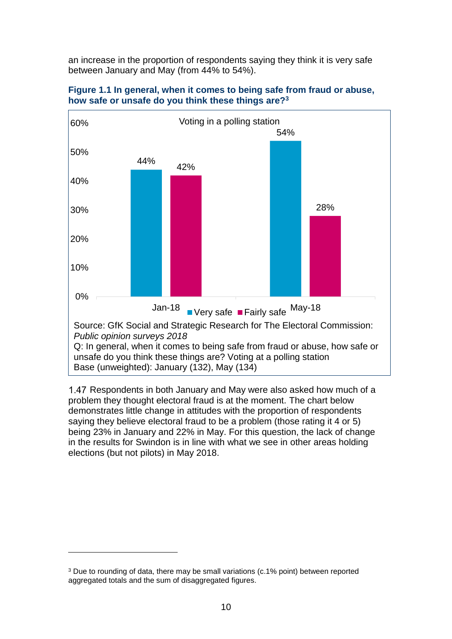an increase in the proportion of respondents saying they think it is very safe between January and May (from 44% to 54%).



#### **Figure 1.1 In general, when it comes to being safe from fraud or abuse, how safe or unsafe do you think these things are?<sup>3</sup>**

1.47 Respondents in both January and May were also asked how much of a problem they thought electoral fraud is at the moment. The chart below demonstrates little change in attitudes with the proportion of respondents saying they believe electoral fraud to be a problem (those rating it 4 or 5) being 23% in January and 22% in May. For this question, the lack of change in the results for Swindon is in line with what we see in other areas holding elections (but not pilots) in May 2018.

1

<sup>3</sup> Due to rounding of data, there may be small variations (c.1% point) between reported aggregated totals and the sum of disaggregated figures.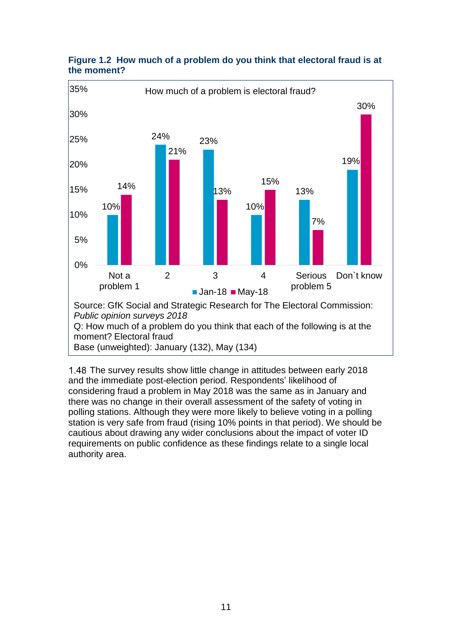

#### **Figure 1.2 How much of a problem do you think that electoral fraud is at the moment?**

1.48 The survey results show little change in attitudes between early 2018 and the immediate post-election period. Respondents' likelihood of considering fraud a problem in May 2018 was the same as in January and there was no change in their overall assessment of the safety of voting in polling stations. Although they were more likely to believe voting in a polling station is very safe from fraud (rising 10% points in that period). We should be cautious about drawing any wider conclusions about the impact of voter ID requirements on public confidence as these findings relate to a single local authority area.